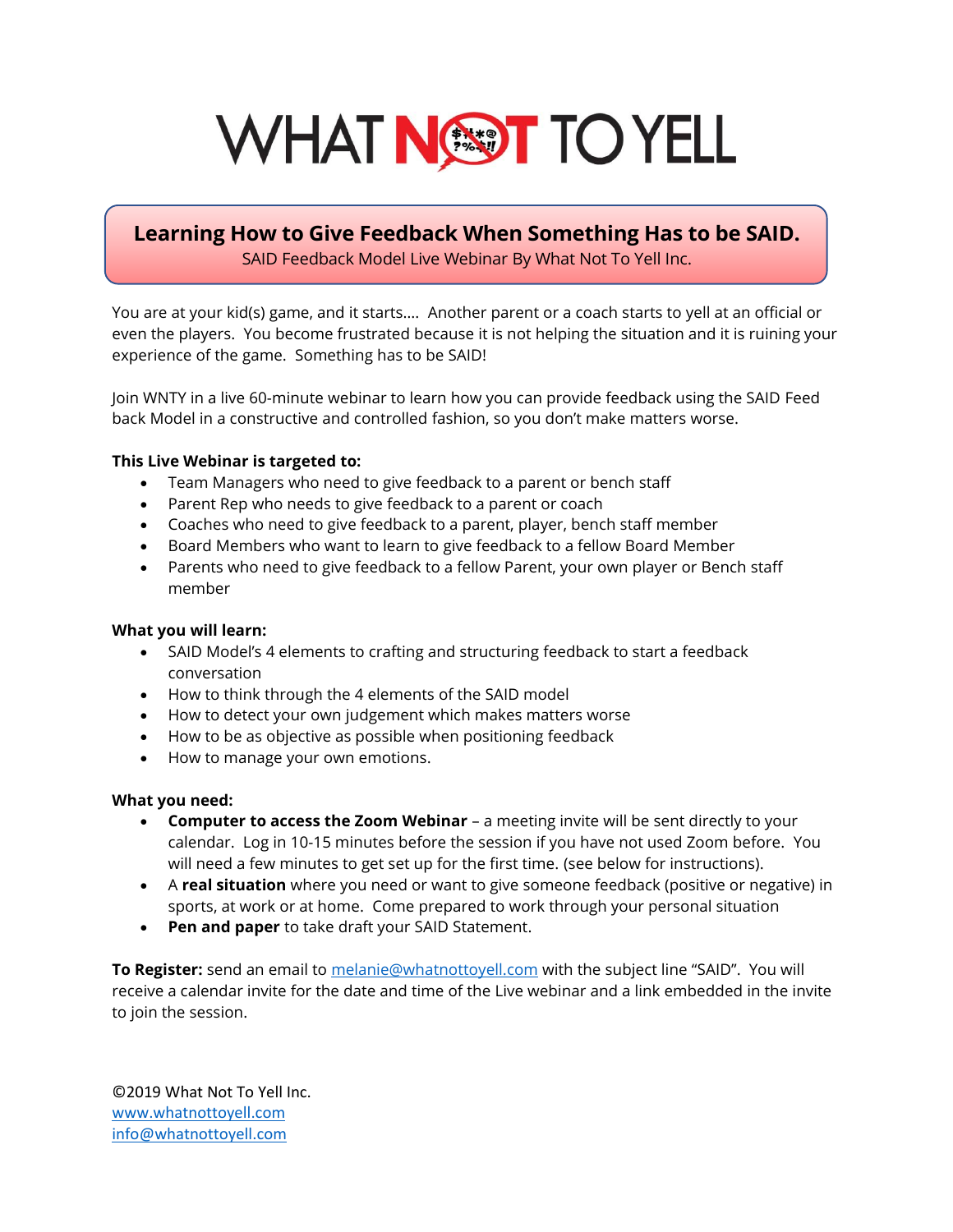# WHAT NEW TO YELL

### **Learning How to Give Feedback When Something Has to be SAID.** SAID Feedback Model Live Webinar By What Not To Yell Inc.

You are at your kid(s) game, and it starts…. Another parent or a coach starts to yell at an official or even the players. You become frustrated because it is not helping the situation and it is ruining your experience of the game. Something has to be SAID!

Join WNTY in a live 60-minute webinar to learn how you can provide feedback using the SAID Feed back Model in a constructive and controlled fashion, so you don't make matters worse.

#### **This Live Webinar is targeted to:**

- Team Managers who need to give feedback to a parent or bench staff
- Parent Rep who needs to give feedback to a parent or coach
- Coaches who need to give feedback to a parent, player, bench staff member
- Board Members who want to learn to give feedback to a fellow Board Member
- Parents who need to give feedback to a fellow Parent, your own player or Bench staff member

#### **What you will learn:**

- SAID Model's 4 elements to crafting and structuring feedback to start a feedback conversation
- How to think through the 4 elements of the SAID model
- How to detect your own judgement which makes matters worse
- How to be as objective as possible when positioning feedback
- How to manage your own emotions.

#### **What you need:**

- **Computer to access the Zoom Webinar** a meeting invite will be sent directly to your calendar. Log in 10-15 minutes before the session if you have not used Zoom before. You will need a few minutes to get set up for the first time. (see below for instructions).
- A **real situation** where you need or want to give someone feedback (positive or negative) in sports, at work or at home. Come prepared to work through your personal situation
- **Pen and paper** to take draft your SAID Statement.

**To Register:** send an email to [melanie@whatnottoyell.com](mailto:melanie@whatnottoyell.com) with the subject line "SAID". You will receive a calendar invite for the date and time of the Live webinar and a link embedded in the invite to join the session.

©2019 What Not To Yell Inc. [www.whatnottoyell.com](http://www.whatnottoyell.com/) [info@whatnottoyell.com](mailto:info@whatnottoyell.com)